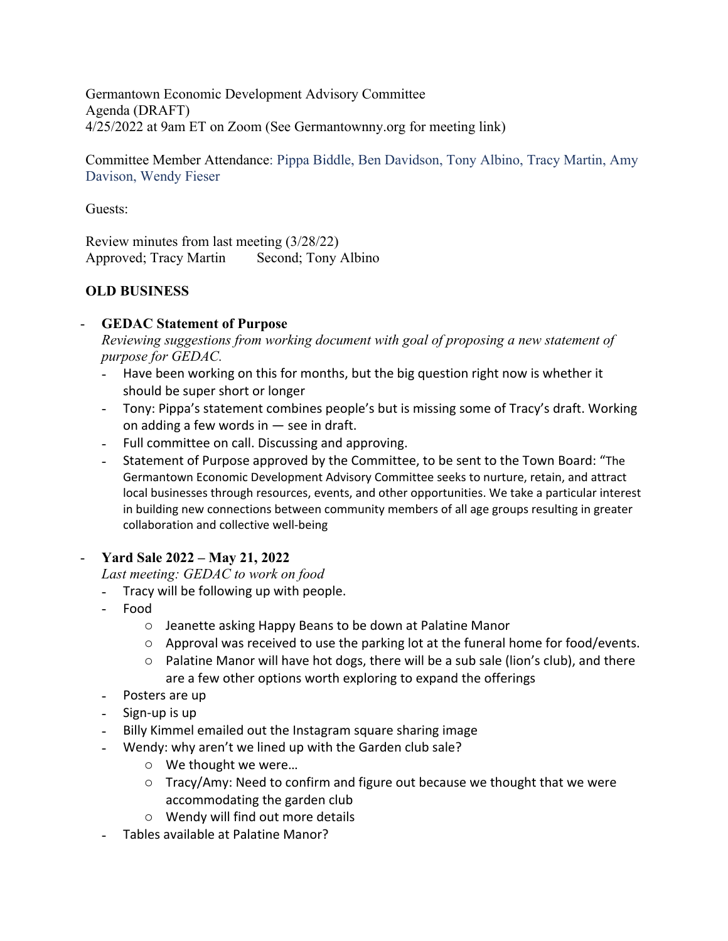Germantown Economic Development Advisory Committee Agenda (DRAFT) 4/25/2022 at 9am ET on Zoom (See Germantownny.org for meeting link)

Committee Member Attendance: Pippa Biddle, Ben Davidson, Tony Albino, Tracy Martin, Amy Davison, Wendy Fieser

Guests:

Review minutes from last meeting (3/28/22) Approved; Tracy Martin Second; Tony Albino

# **OLD BUSINESS**

# - **GEDAC Statement of Purpose**

*Reviewing suggestions from working document with goal of proposing a new statement of purpose for GEDAC.* 

- Have been working on this for months, but the big question right now is whether it should be super short or longer
- Tony: Pippa's statement combines people's but is missing some of Tracy's draft. Working on adding a few words in — see in draft.
- Full committee on call. Discussing and approving.
- Statement of Purpose approved by the Committee, to be sent to the Town Board: "The Germantown Economic Development Advisory Committee seeks to nurture, retain, and attract local businesses through resources, events, and other opportunities. We take a particular interest in building new connections between community members of all age groups resulting in greater collaboration and collective well-being

# - **Yard Sale 2022 – May 21, 2022**

*Last meeting: GEDAC to work on food* 

- Tracy will be following up with people.
- Food
	- o Jeanette asking Happy Beans to be down at Palatine Manor
	- $\circ$  Approval was received to use the parking lot at the funeral home for food/events.
	- o Palatine Manor will have hot dogs, there will be a sub sale (lion's club), and there are a few other options worth exploring to expand the offerings
- Posters are up
- Sign-up is up
- Billy Kimmel emailed out the Instagram square sharing image
- Wendy: why aren't we lined up with the Garden club sale?
	- o We thought we were…
	- $\circ$  Tracy/Amy: Need to confirm and figure out because we thought that we were accommodating the garden club
	- o Wendy will find out more details
- Tables available at Palatine Manor?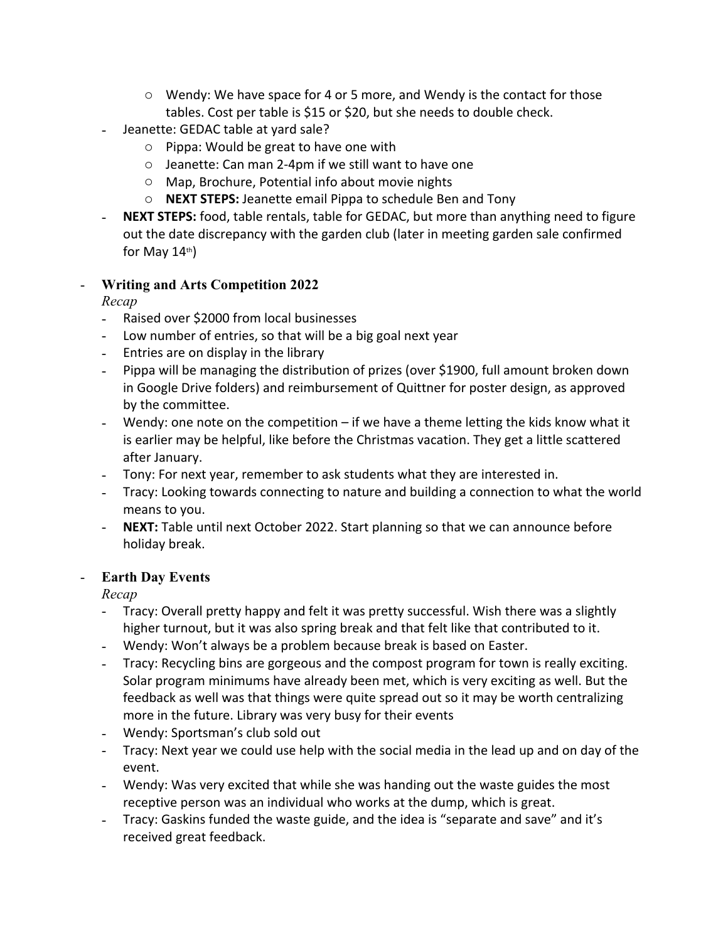- o Wendy: We have space for 4 or 5 more, and Wendy is the contact for those tables. Cost per table is \$15 or \$20, but she needs to double check.
- Jeanette: GEDAC table at yard sale?
	- o Pippa: Would be great to have one with
	- o Jeanette: Can man 2-4pm if we still want to have one
	- o Map, Brochure, Potential info about movie nights
	- o **NEXT STEPS:** Jeanette email Pippa to schedule Ben and Tony
- **NEXT STEPS:** food, table rentals, table for GEDAC, but more than anything need to figure out the date discrepancy with the garden club (later in meeting garden sale confirmed for May  $14<sup>th</sup>$ )

# - **Writing and Arts Competition 2022**

*Recap*

- Raised over \$2000 from local businesses
- Low number of entries, so that will be a big goal next year
- Entries are on display in the library
- Pippa will be managing the distribution of prizes (over \$1900, full amount broken down in Google Drive folders) and reimbursement of Quittner for poster design, as approved by the committee.
- Wendy: one note on the competition if we have a theme letting the kids know what it is earlier may be helpful, like before the Christmas vacation. They get a little scattered after January.
- Tony: For next year, remember to ask students what they are interested in.
- Tracy: Looking towards connecting to nature and building a connection to what the world means to you.
- **NEXT:** Table until next October 2022. Start planning so that we can announce before holiday break.

# - **Earth Day Events**

*Recap*

- Tracy: Overall pretty happy and felt it was pretty successful. Wish there was a slightly higher turnout, but it was also spring break and that felt like that contributed to it.
- Wendy: Won't always be a problem because break is based on Easter.
- Tracy: Recycling bins are gorgeous and the compost program for town is really exciting. Solar program minimums have already been met, which is very exciting as well. But the feedback as well was that things were quite spread out so it may be worth centralizing more in the future. Library was very busy for their events
- Wendy: Sportsman's club sold out
- Tracy: Next year we could use help with the social media in the lead up and on day of the event.
- Wendy: Was very excited that while she was handing out the waste guides the most receptive person was an individual who works at the dump, which is great.
- Tracy: Gaskins funded the waste guide, and the idea is "separate and save" and it's received great feedback.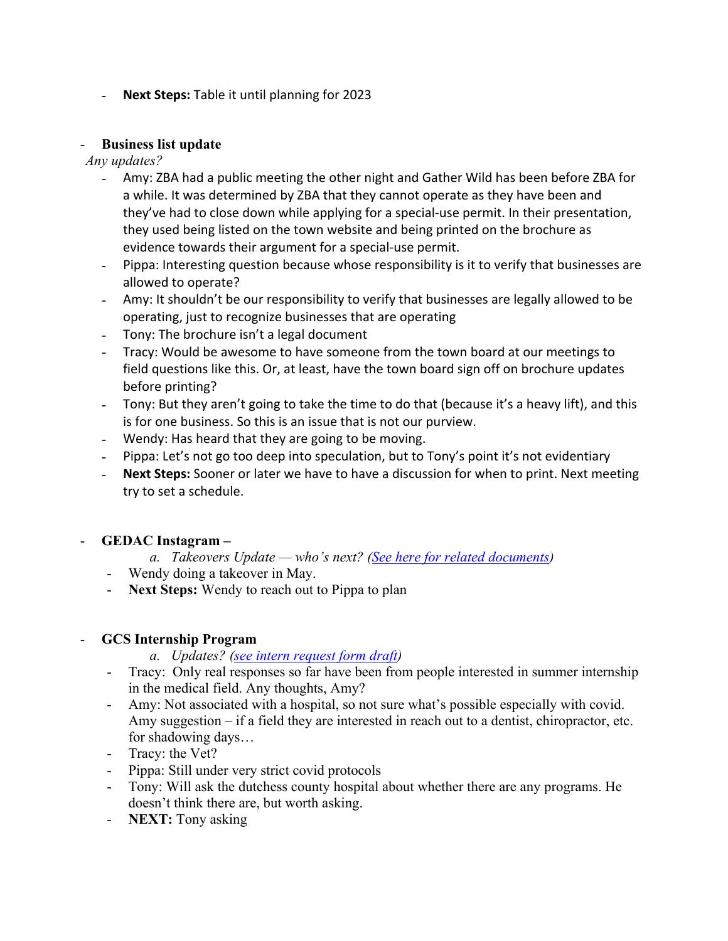- **Next Steps:** Table it until planning for 2023

### - **Business list update**

*Any updates?* 

- Amy: ZBA had a public meeting the other night and Gather Wild has been before ZBA for a while. It was determined by ZBA that they cannot operate as they have been and they've had to close down while applying for a special-use permit. In their presentation, they used being listed on the town website and being printed on the brochure as evidence towards their argument for a special-use permit.
- Pippa: Interesting question because whose responsibility is it to verify that businesses are allowed to operate?
- Amy: It shouldn't be our responsibility to verify that businesses are legally allowed to be operating, just to recognize businesses that are operating
- Tony: The brochure isn't a legal document
- Tracy: Would be awesome to have someone from the town board at our meetings to field questions like this. Or, at least, have the town board sign off on brochure updates before printing?
- Tony: But they aren't going to take the time to do that (because it's a heavy lift), and this is for one business. So this is an issue that is not our purview.
- Wendy: Has heard that they are going to be moving.
- Pippa: Let's not go too deep into speculation, but to Tony's point it's not evidentiary
- **Next Steps:** Sooner or later we have to have a discussion for when to print. Next meeting try to set a schedule.

# - **GEDAC Instagram –**

- *a. Takeovers Update who's next? (See here for related documents)*
- 
- Wendy doing a takeover in May. **Next Steps:** Wendy to reach out to Pippa to plan **GCS Internship Program**

- *a. Updates? (see intern request form draft)*
- Tracy: Only real responses so far have been from people interested in summer internship in the medical field. Any thoughts, Amy?<br>- Amy: Not associated with a hospital, so not sure what's possible especially with covid.
- Amy suggestion if a field they are interested in reach out to a dentist, chiropractor, etc. for shadowing days...<br>
- Tracy: the Vet?<br>
- Pippa: Still under very strict covid protocols<br>
- Tony: Will ask the dutchess county hospital about whether there are any programs. He
- 
- 
- doesn't think there are, but worth asking. **NEXT:** Tony asking
-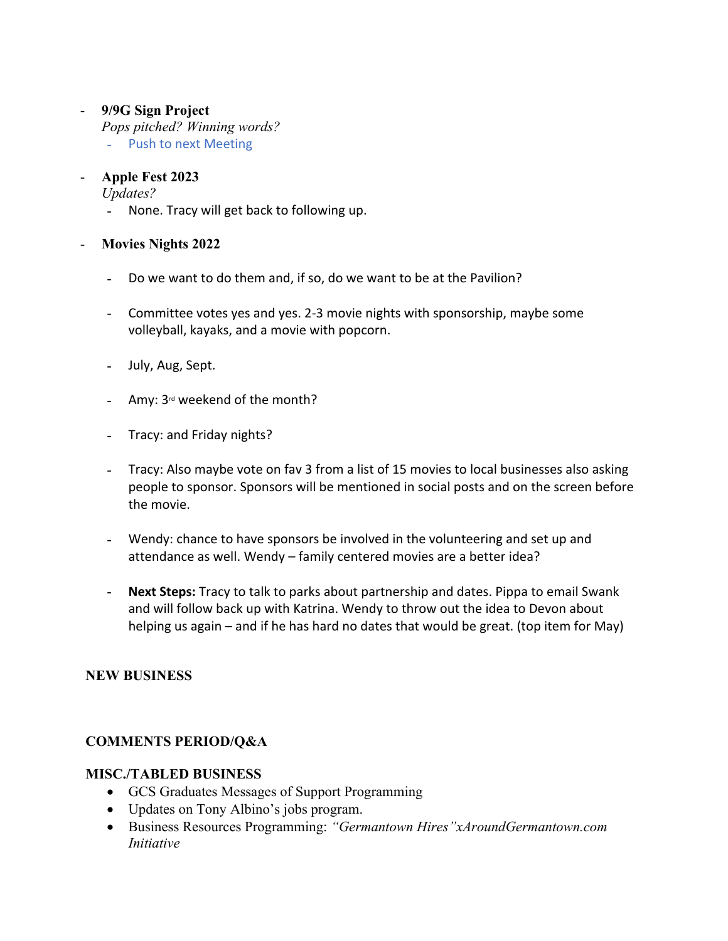# - **9/9G Sign Project**

*Pops pitched? Winning words?* 

- Push to next Meeting

# - **Apple Fest 2023**

*Updates?*

- None. Tracy will get back to following up.

# - **Movies Nights 2022**

- Do we want to do them and, if so, do we want to be at the Pavilion?
- Committee votes yes and yes. 2-3 movie nights with sponsorship, maybe some volleyball, kayaks, and a movie with popcorn.
- July, Aug, Sept.
- Amy:  $3^{rd}$  weekend of the month?
- Tracy: and Friday nights?
- Tracy: Also maybe vote on fav 3 from a list of 15 movies to local businesses also asking people to sponsor. Sponsors will be mentioned in social posts and on the screen before the movie.
- Wendy: chance to have sponsors be involved in the volunteering and set up and attendance as well. Wendy – family centered movies are a better idea?
- **Next Steps:** Tracy to talk to parks about partnership and dates. Pippa to email Swank and will follow back up with Katrina. Wendy to throw out the idea to Devon about helping us again – and if he has hard no dates that would be great. (top item for May)

# **NEW BUSINESS**

# **COMMENTS PERIOD/Q&A**

# **MISC./TABLED BUSINESS**

- GCS Graduates Messages of Support Programming
- Updates on Tony Albino's jobs program.
- Business Resources Programming: *"Germantown Hires"xAroundGermantown.com Initiative*